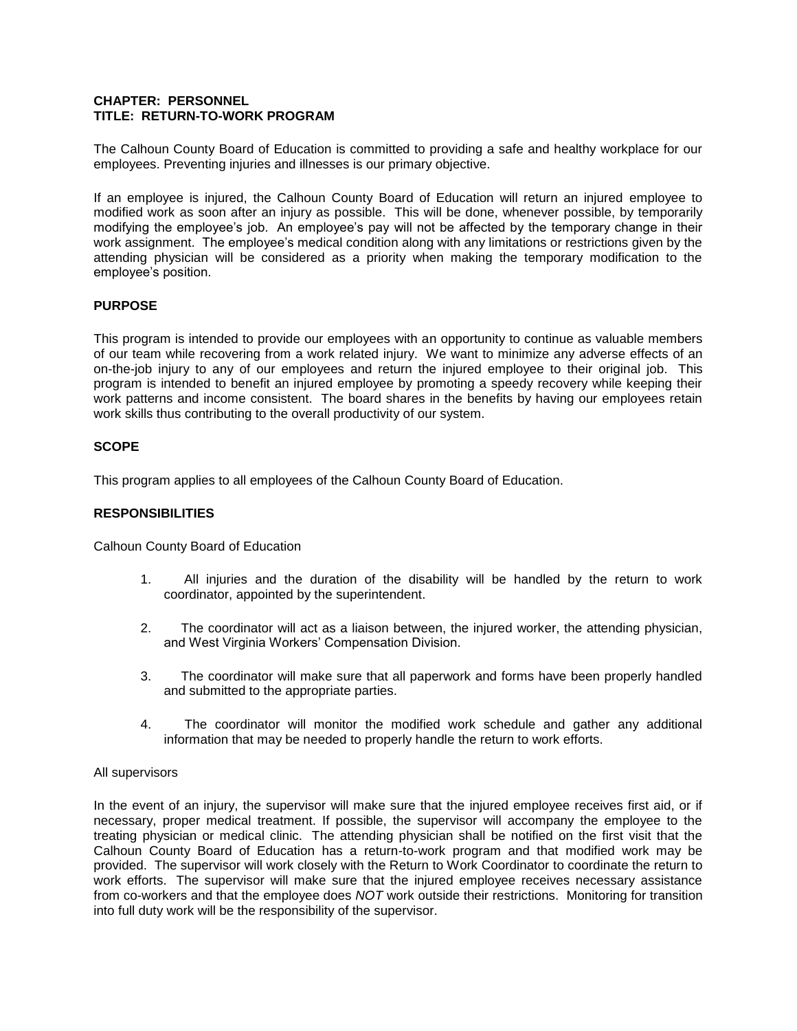### **CHAPTER: PERSONNEL TITLE: RETURN-TO-WORK PROGRAM**

The Calhoun County Board of Education is committed to providing a safe and healthy workplace for our employees. Preventing injuries and illnesses is our primary objective.

If an employee is injured, the Calhoun County Board of Education will return an injured employee to modified work as soon after an injury as possible. This will be done, whenever possible, by temporarily modifying the employee's job. An employee's pay will not be affected by the temporary change in their work assignment. The employee's medical condition along with any limitations or restrictions given by the attending physician will be considered as a priority when making the temporary modification to the employee's position.

# **PURPOSE**

This program is intended to provide our employees with an opportunity to continue as valuable members of our team while recovering from a work related injury. We want to minimize any adverse effects of an on-the-job injury to any of our employees and return the injured employee to their original job. This program is intended to benefit an injured employee by promoting a speedy recovery while keeping their work patterns and income consistent. The board shares in the benefits by having our employees retain work skills thus contributing to the overall productivity of our system.

# **SCOPE**

This program applies to all employees of the Calhoun County Board of Education.

# **RESPONSIBILITIES**

Calhoun County Board of Education

- 1. All injuries and the duration of the disability will be handled by the return to work coordinator, appointed by the superintendent.
- 2. The coordinator will act as a liaison between, the injured worker, the attending physician, and West Virginia Workers' Compensation Division.
- 3. The coordinator will make sure that all paperwork and forms have been properly handled and submitted to the appropriate parties.
- 4. The coordinator will monitor the modified work schedule and gather any additional information that may be needed to properly handle the return to work efforts.

#### All supervisors

In the event of an injury, the supervisor will make sure that the injured employee receives first aid, or if necessary, proper medical treatment. If possible, the supervisor will accompany the employee to the treating physician or medical clinic. The attending physician shall be notified on the first visit that the Calhoun County Board of Education has a return-to-work program and that modified work may be provided. The supervisor will work closely with the Return to Work Coordinator to coordinate the return to work efforts. The supervisor will make sure that the injured employee receives necessary assistance from co-workers and that the employee does *NOT* work outside their restrictions. Monitoring for transition into full duty work will be the responsibility of the supervisor.